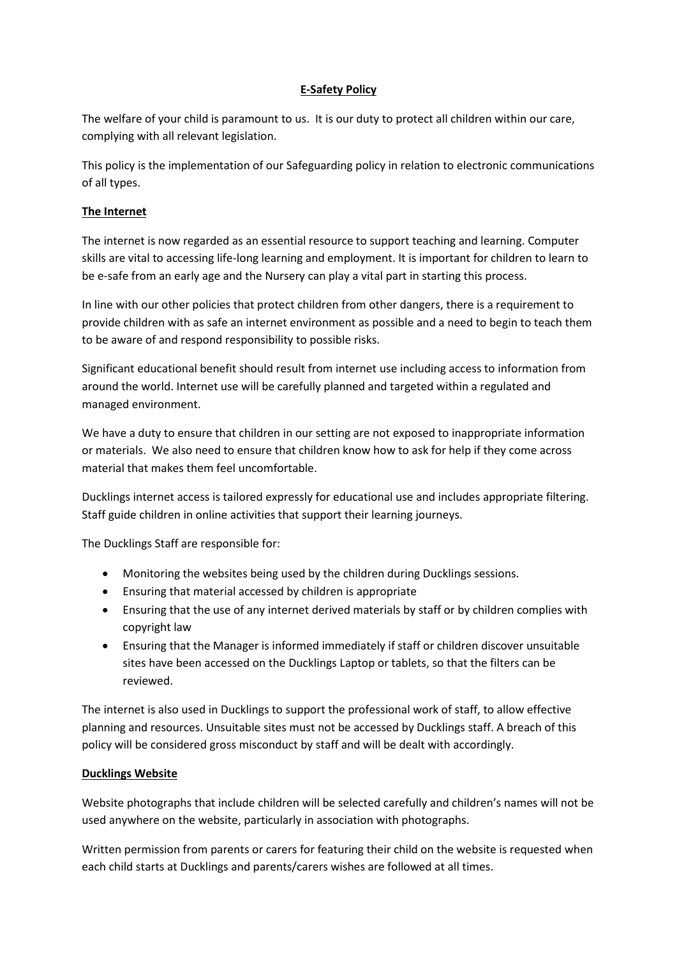# **E-Safety Policy**

The welfare of your child is paramount to us. It is our duty to protect all children within our care, complying with all relevant legislation.

This policy is the implementation of our Safeguarding policy in relation to electronic communications of all types.

## **The Internet**

The internet is now regarded as an essential resource to support teaching and learning. Computer skills are vital to accessing life-long learning and employment. It is important for children to learn to be e-safe from an early age and the Nursery can play a vital part in starting this process.

In line with our other policies that protect children from other dangers, there is a requirement to provide children with as safe an internet environment as possible and a need to begin to teach them to be aware of and respond responsibility to possible risks.

Significant educational benefit should result from internet use including access to information from around the world. Internet use will be carefully planned and targeted within a regulated and managed environment.

We have a duty to ensure that children in our setting are not exposed to inappropriate information or materials. We also need to ensure that children know how to ask for help if they come across material that makes them feel uncomfortable.

Ducklings internet access is tailored expressly for educational use and includes appropriate filtering. Staff guide children in online activities that support their learning journeys.

The Ducklings Staff are responsible for:

- Monitoring the websites being used by the children during Ducklings sessions.
- Ensuring that material accessed by children is appropriate
- Ensuring that the use of any internet derived materials by staff or by children complies with copyright law
- Ensuring that the Manager is informed immediately if staff or children discover unsuitable sites have been accessed on the Ducklings Laptop or tablets, so that the filters can be reviewed.

The internet is also used in Ducklings to support the professional work of staff, to allow effective planning and resources. Unsuitable sites must not be accessed by Ducklings staff. A breach of this policy will be considered gross misconduct by staff and will be dealt with accordingly.

# **Ducklings Website**

Website photographs that include children will be selected carefully and children's names will not be used anywhere on the website, particularly in association with photographs.

Written permission from parents or carers for featuring their child on the website is requested when each child starts at Ducklings and parents/carers wishes are followed at all times.